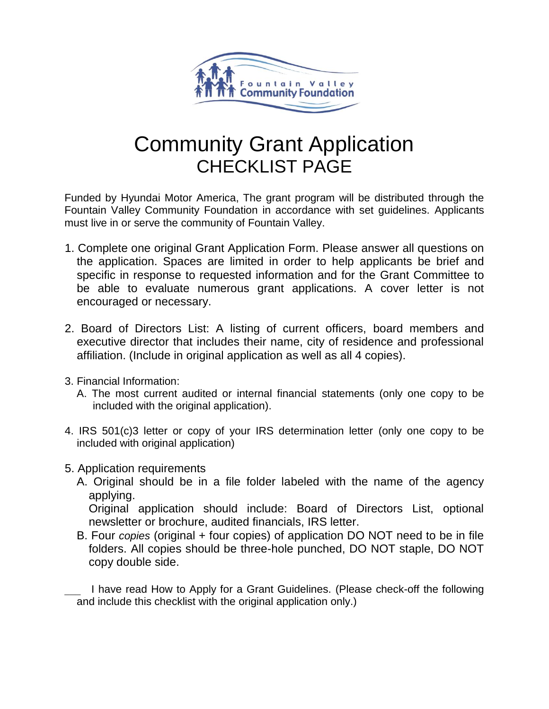

# Community Grant Application CHECKLIST PAGE

Funded by Hyundai Motor America, The grant program will be distributed through the Fountain Valley Community Foundation in accordance with set guidelines. Applicants must live in or serve the community of Fountain Valley.

- 1. Complete one original Grant Application Form. Please answer all questions on the application. Spaces are limited in order to help applicants be brief and specific in response to requested information and for the Grant Committee to be able to evaluate numerous grant applications. A cover letter is not encouraged or necessary.
- 2. Board of Directors List: A listing of current officers, board members and executive director that includes their name, city of residence and professional affiliation. (Include in original application as well as all 4 copies).
- 3. Financial Information:
	- A. The most current audited or internal financial statements (only one copy to be included with the original application).
- 4. IRS 501(c)3 letter or copy of your IRS determination letter (only one copy to be included with original application)
- 5. Application requirements
	- A. Original should be in a file folder labeled with the name of the agency applying.

Original application should include: Board of Directors List, optional newsletter or brochure, audited financials, IRS letter.

B. Four *copies* (original + four copies) of application DO NOT need to be in file folders. All copies should be three-hole punched, DO NOT staple, DO NOT copy double side.

 I have read How to Apply for a Grant Guidelines. (Please check-off the following and include this checklist with the original application only.)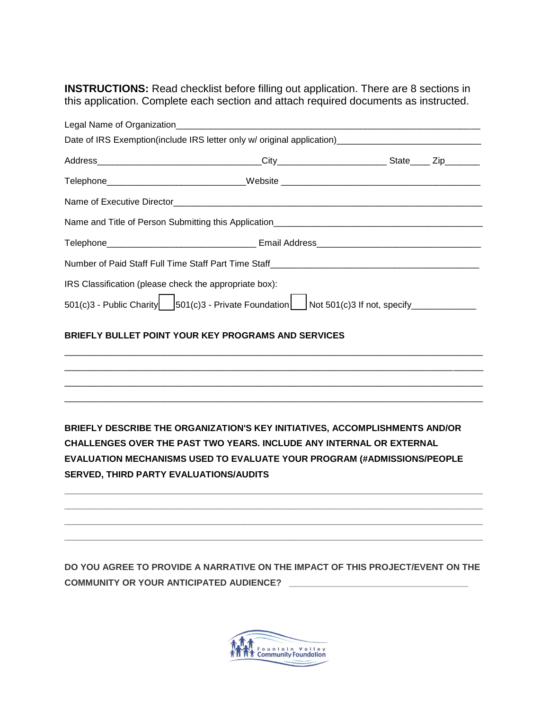**INSTRUCTIONS:** Read checklist before filling out application. There are 8 sections in this application. Complete each section and attach required documents as instructed.

|                                                        | Telephone______________________________Website _________________________________                     |  |
|--------------------------------------------------------|------------------------------------------------------------------------------------------------------|--|
|                                                        |                                                                                                      |  |
|                                                        |                                                                                                      |  |
|                                                        |                                                                                                      |  |
|                                                        |                                                                                                      |  |
| IRS Classification (please check the appropriate box): |                                                                                                      |  |
|                                                        | 501(c)3 - Public Charity $ $ 501(c)3 - Private Foundation $ $ Not 501(c)3 If not, specify __________ |  |
|                                                        | BRIEFLY BULLET POINT YOUR KEY PROGRAMS AND SERVICES                                                  |  |
|                                                        |                                                                                                      |  |
|                                                        |                                                                                                      |  |
|                                                        |                                                                                                      |  |
|                                                        | BRIEFLY DESCRIBE THE ORGANIZATION'S KEY INITIATIVES, ACCOMPLISHMENTS AND/OR                          |  |
|                                                        | CHALLENGES OVER THE PAST TWO YEARS. INCLUDE ANY INTERNAL OR EXTERNAL                                 |  |
|                                                        | EVALUATION MECHANISMS USED TO EVALUATE YOUR PROGRAM (#ADMISSIONS/PEOPLE                              |  |
| SERVED, THIRD PARTY EVALUATIONS/AUDITS                 |                                                                                                      |  |
|                                                        |                                                                                                      |  |
|                                                        |                                                                                                      |  |
|                                                        |                                                                                                      |  |

**DO YOU AGREE TO PROVIDE A NARRATIVE ON THE IMPACT OF THIS PROJECT/EVENT ON THE COMMUNITY OR YOUR ANTICIPATED AUDIENCE? \_\_\_\_\_\_\_\_\_\_\_\_\_\_\_\_\_\_\_\_\_\_\_\_\_\_\_\_\_\_\_\_\_\_\_\_** 

**\_\_\_\_\_\_\_\_\_\_\_\_\_\_\_\_\_\_\_\_\_\_\_\_\_\_\_\_\_\_\_\_\_\_\_\_\_\_\_\_\_\_\_\_\_\_\_\_\_\_\_\_\_\_\_\_\_\_\_\_\_\_\_\_\_\_\_\_\_\_\_\_\_\_\_\_\_\_\_\_\_\_**

**\_\_**